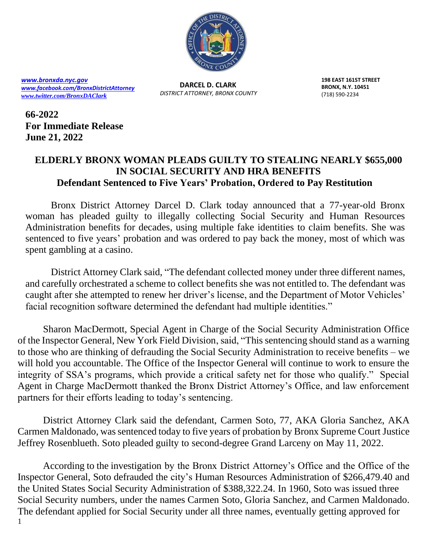

*[www.bronxda.nyc.gov](http://www.bronxda.nyc.gov/) [www.facebook.com/BronxDistrictAttorney](file://///bronxda.nycnet/shares/UNITS/PUBLIC-INFORMATION/Public-Information/2016/www.facebook.com/BronxDistrictAttorney) [www.twitter.com/BronxDAClark](file://///bronxda.nycnet/shares/UNITS/PUBLIC-INFORMATION/Public-Information/2016/www.twitter.com/BronxDAClark)*

**DARCEL D. CLARK** *DISTRICT ATTORNEY, BRONX COUNTY* **198 EAST 161ST STREET BRONX, N.Y. 10451** (718) 590-2234

**66-2022 For Immediate Release June 21, 2022**

## **ELDERLY BRONX WOMAN PLEADS GUILTY TO STEALING NEARLY \$655,000 IN SOCIAL SECURITY AND HRA BENEFITS Defendant Sentenced to Five Years' Probation, Ordered to Pay Restitution**

Bronx District Attorney Darcel D. Clark today announced that a 77-year-old Bronx woman has pleaded guilty to illegally collecting Social Security and Human Resources Administration benefits for decades, using multiple fake identities to claim benefits. She was sentenced to five years' probation and was ordered to pay back the money, most of which was spent gambling at a casino.

District Attorney Clark said, "The defendant collected money under three different names, and carefully orchestrated a scheme to collect benefits she was not entitled to. The defendant was caught after she attempted to renew her driver's license, and the Department of Motor Vehicles' facial recognition software determined the defendant had multiple identities."

Sharon MacDermott, Special Agent in Charge of the Social Security Administration Office of the Inspector General, New York Field Division, said, "This sentencing should stand as a warning to those who are thinking of defrauding the Social Security Administration to receive benefits – we will hold you accountable. The Office of the Inspector General will continue to work to ensure the integrity of SSA's programs, which provide a critical safety net for those who qualify." Special Agent in Charge MacDermott thanked the Bronx District Attorney's Office, and law enforcement partners for their efforts leading to today's sentencing.

District Attorney Clark said the defendant, Carmen Soto, 77, AKA Gloria Sanchez, AKA Carmen Maldonado, was sentenced today to five years of probation by Bronx Supreme Court Justice Jeffrey Rosenblueth. Soto pleaded guilty to second-degree Grand Larceny on May 11, 2022.

1 According to the investigation by the Bronx District Attorney's Office and the Office of the Inspector General, Soto defrauded the city's Human Resources Administration of \$266,479.40 and the United States Social Security Administration of \$388,322.24. In 1960, Soto was issued three Social Security numbers, under the names Carmen Soto, Gloria Sanchez, and Carmen Maldonado. The defendant applied for Social Security under all three names, eventually getting approved for